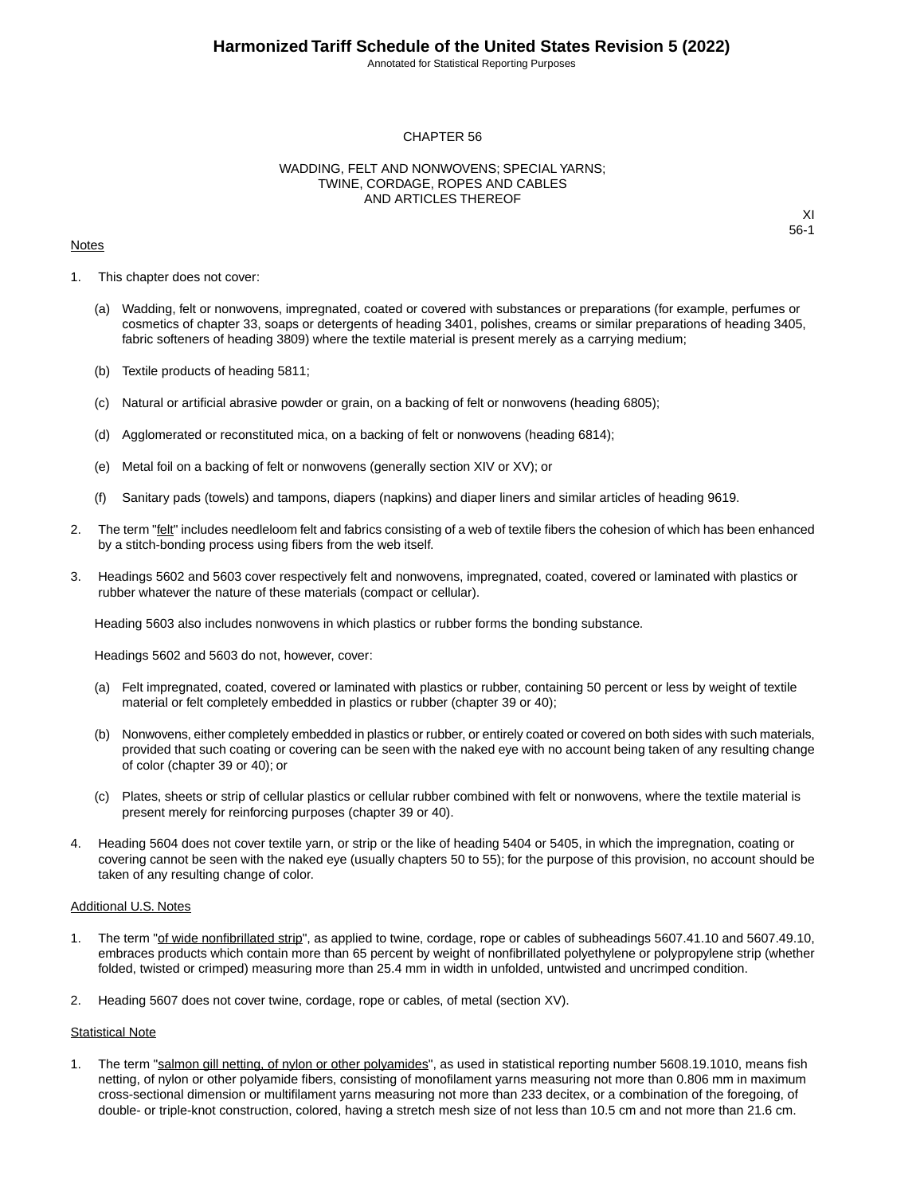Annotated for Statistical Reporting Purposes

#### CHAPTER 56

#### WADDING, FELT AND NONWOVENS; SPECIAL YARNS; TWINE, CORDAGE, ROPES AND CABLES AND ARTICLES THEREOF

#### **Notes**

XI 56-1

- 1. This chapter does not cover:
	- (a) Wadding, felt or nonwovens, impregnated, coated or covered with substances or preparations (for example, perfumes or cosmetics of chapter 33, soaps or detergents of heading 3401, polishes, creams or similar preparations of heading 3405, fabric softeners of heading 3809) where the textile material is present merely as a carrying medium;
	- (b) Textile products of heading 5811;
	- (c) Natural or artificial abrasive powder or grain, on a backing of felt or nonwovens (heading 6805);
	- (d) Agglomerated or reconstituted mica, on a backing of felt or nonwovens (heading 6814);
	- (e) Metal foil on a backing of felt or nonwovens (generally section XIV or XV); or
	- (f) Sanitary pads (towels) and tampons, diapers (napkins) and diaper liners and similar articles of heading 9619.
- 2. The term "felt" includes needleloom felt and fabrics consisting of a web of textile fibers the cohesion of which has been enhanced by a stitch-bonding process using fibers from the web itself.
- 3. Headings 5602 and 5603 cover respectively felt and nonwovens, impregnated, coated, covered or laminated with plastics or rubber whatever the nature of these materials (compact or cellular).

Heading 5603 also includes nonwovens in which plastics or rubber forms the bonding substance.

Headings 5602 and 5603 do not, however, cover:

- (a) Felt impregnated, coated, covered or laminated with plastics or rubber, containing 50 percent or less by weight of textile material or felt completely embedded in plastics or rubber (chapter 39 or 40);
- (b) Nonwovens, either completely embedded in plastics or rubber, or entirely coated or covered on both sides with such materials, provided that such coating or covering can be seen with the naked eye with no account being taken of any resulting change of color (chapter 39 or 40); or
- (c) Plates, sheets or strip of cellular plastics or cellular rubber combined with felt or nonwovens, where the textile material is present merely for reinforcing purposes (chapter 39 or 40).
- 4. Heading 5604 does not cover textile yarn, or strip or the like of heading 5404 or 5405, in which the impregnation, coating or covering cannot be seen with the naked eye (usually chapters 50 to 55); for the purpose of this provision, no account should be taken of any resulting change of color.

#### Additional U.S. Notes

- 1. The term "of wide nonfibrillated strip", as applied to twine, cordage, rope or cables of subheadings 5607.41.10 and 5607.49.10, embraces products which contain more than 65 percent by weight of nonfibrillated polyethylene or polypropylene strip (whether folded, twisted or crimped) measuring more than 25.4 mm in width in unfolded, untwisted and uncrimped condition.
- 2. Heading 5607 does not cover twine, cordage, rope or cables, of metal (section XV).

#### Statistical Note

1. The term "salmon gill netting, of nylon or other polyamides", as used in statistical reporting number 5608.19.1010, means fish netting, of nylon or other polyamide fibers, consisting of monofilament yarns measuring not more than 0.806 mm in maximum cross-sectional dimension or multifilament yarns measuring not more than 233 decitex, or a combination of the foregoing, of double- or triple-knot construction, colored, having a stretch mesh size of not less than 10.5 cm and not more than 21.6 cm.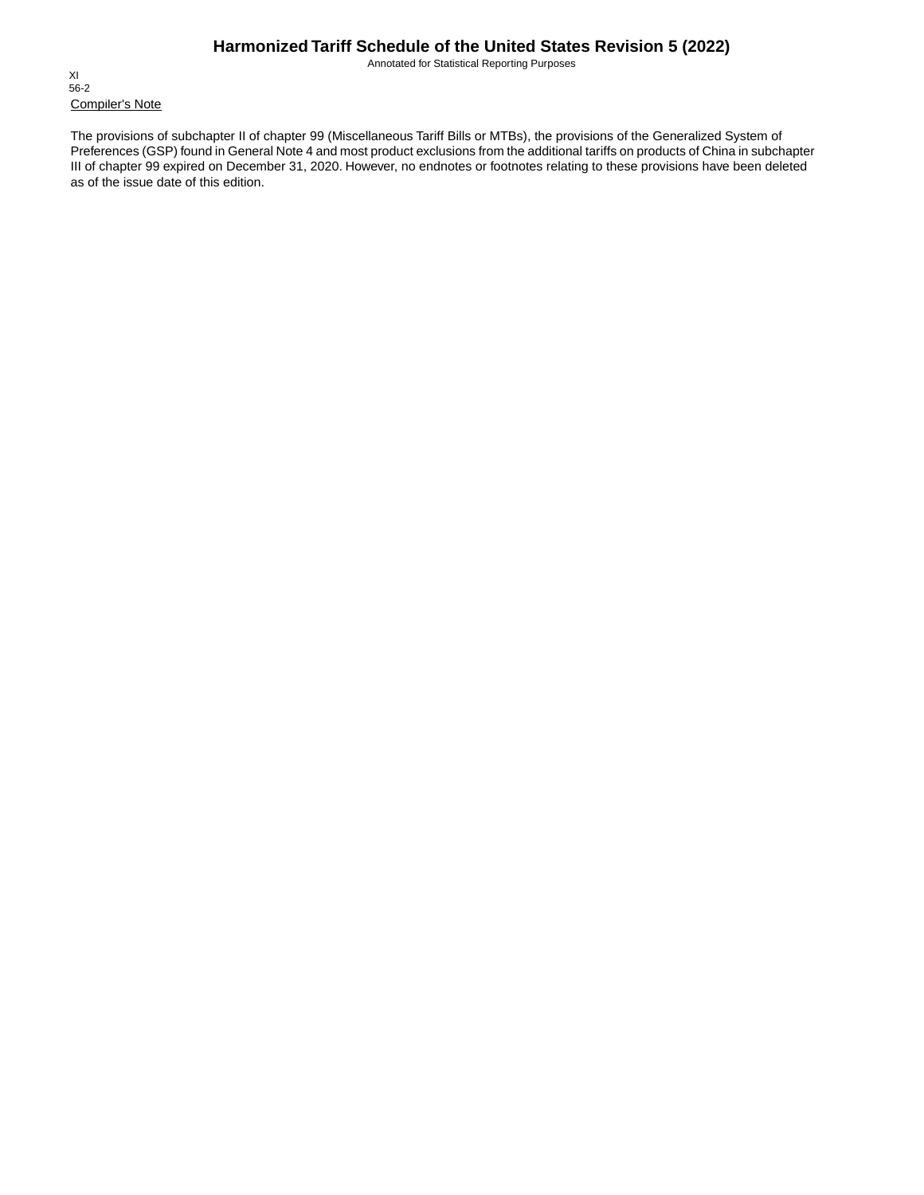Annotated for Statistical Reporting Purposes

Compiler's Note XI 56-2

The provisions of subchapter II of chapter 99 (Miscellaneous Tariff Bills or MTBs), the provisions of the Generalized System of Preferences (GSP) found in General Note 4 and most product exclusions from the additional tariffs on products of China in subchapter III of chapter 99 expired on December 31, 2020. However, no endnotes or footnotes relating to these provisions have been deleted as of the issue date of this edition.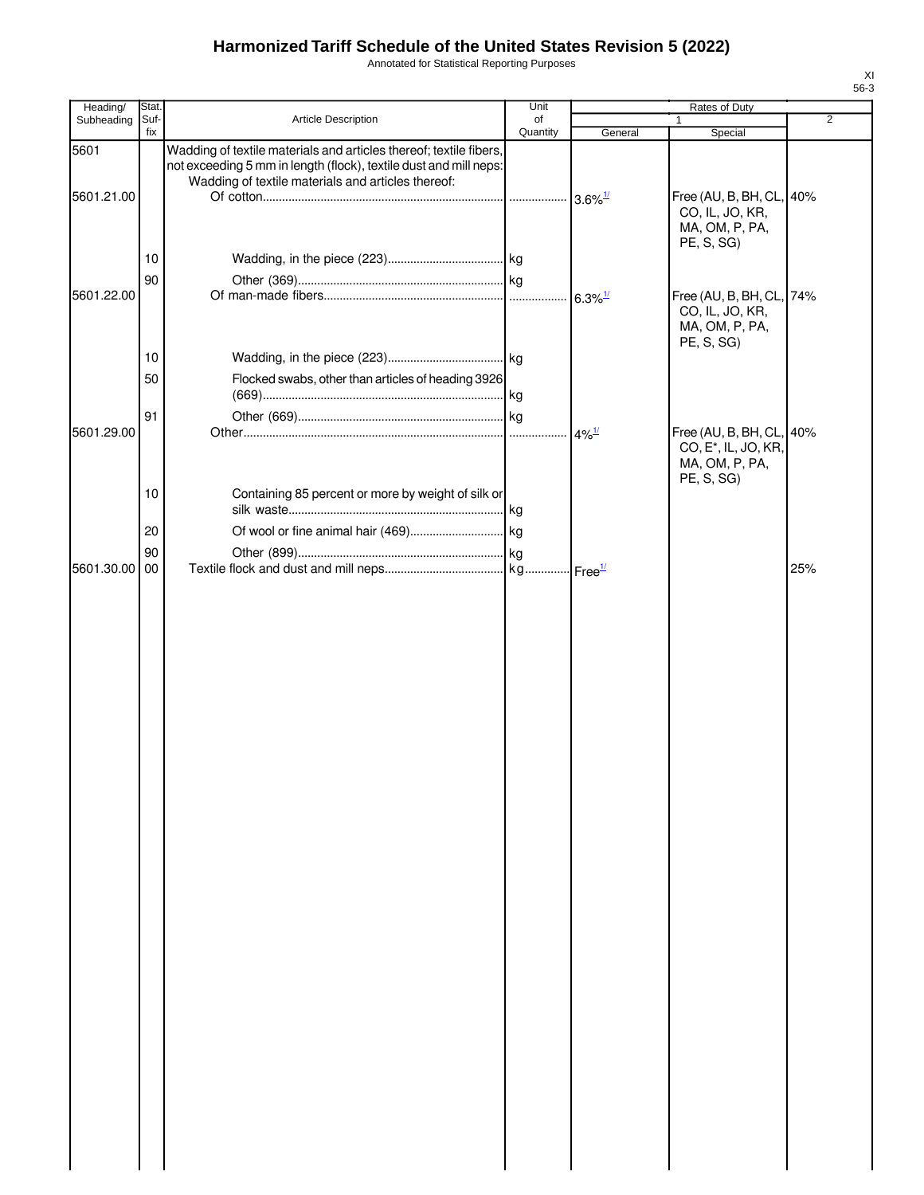Annotated for Statistical Reporting Purposes

| Heading/   | Stat.       |                                                                                                                                                                                               | Unit           |                       | Rates of Duty                                                               |                |
|------------|-------------|-----------------------------------------------------------------------------------------------------------------------------------------------------------------------------------------------|----------------|-----------------------|-----------------------------------------------------------------------------|----------------|
| Subheading | Suf-<br>fix | Article Description                                                                                                                                                                           | of<br>Quantity | General               | Special                                                                     | $\overline{2}$ |
| 5601       |             | Wadding of textile materials and articles thereof; textile fibers,<br>not exceeding 5 mm in length (flock), textile dust and mill neps:<br>Wadding of textile materials and articles thereof: |                |                       |                                                                             |                |
| 5601.21.00 |             |                                                                                                                                                                                               |                | $3.6\%$ <sup>1/</sup> | Free (AU, B, BH, CL, 40%<br>CO, IL, JO, KR,<br>MA, OM, P, PA,<br>PE, S, SG) |                |
|            | 10          |                                                                                                                                                                                               |                |                       |                                                                             |                |
| 5601.22.00 | 90          |                                                                                                                                                                                               |                | $6.3\%$ <sup>1/</sup> | Free (AU, B, BH, CL, 74%<br>CO, IL, JO, KR,                                 |                |
|            | 10          |                                                                                                                                                                                               |                |                       | MA, OM, P, PA,<br>PE, S, SG)                                                |                |
|            | 50          | Flocked swabs, other than articles of heading 3926                                                                                                                                            |                |                       |                                                                             |                |
| 5601.29.00 | 91          |                                                                                                                                                                                               |                | $4\%$ <sup>1/</sup>   | Free (AU, B, BH, CL, 40%                                                    |                |
|            |             |                                                                                                                                                                                               |                |                       | CO, E <sup>*</sup> , IL, JO, KR,<br>MA, OM, P, PA,<br>PE, S, SG)            |                |
|            | 10          | Containing 85 percent or more by weight of silk or                                                                                                                                            |                |                       |                                                                             |                |
|            | 20<br>90    |                                                                                                                                                                                               |                |                       |                                                                             |                |
| 5601.30.00 | 00          |                                                                                                                                                                                               |                |                       |                                                                             | 25%            |
|            |             |                                                                                                                                                                                               |                |                       |                                                                             |                |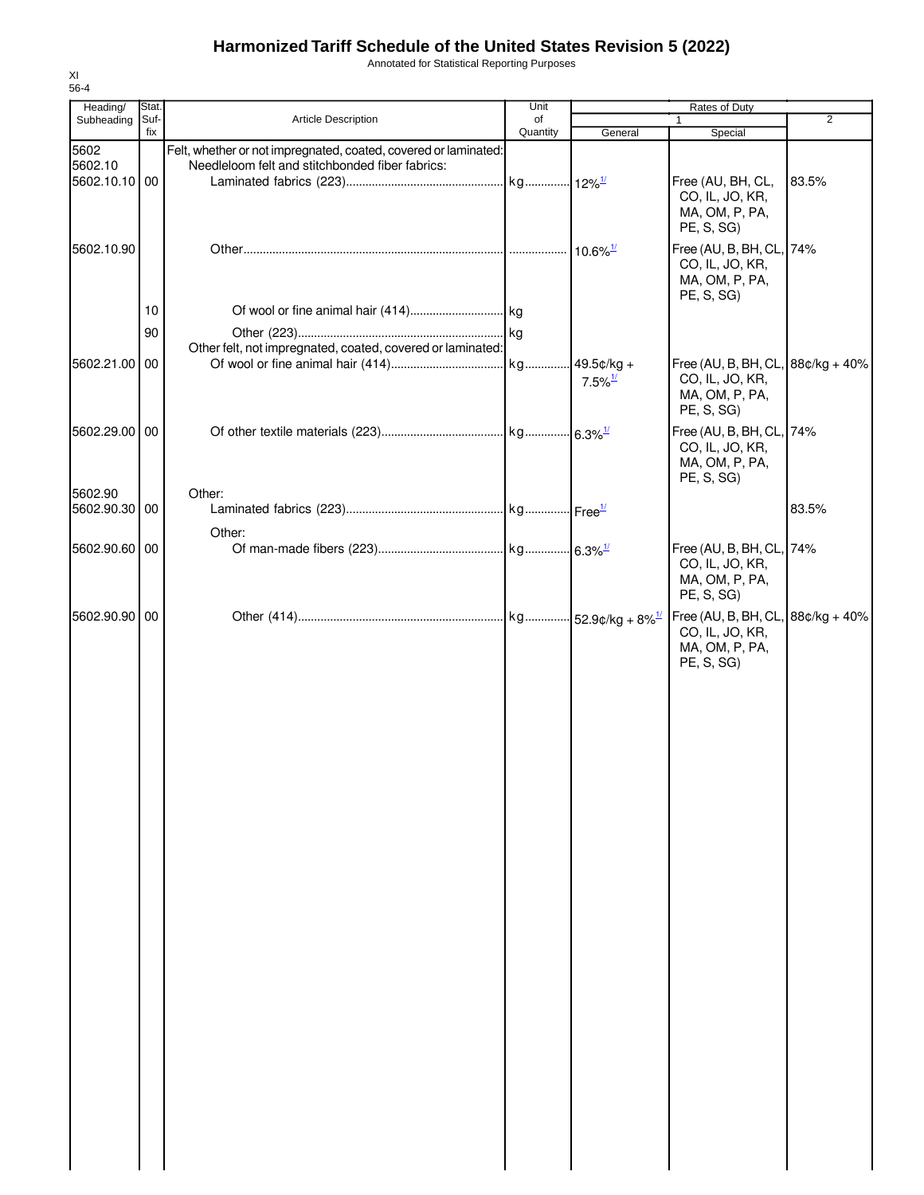Annotated for Statistical Reporting Purposes

| Heading/                         | Stat.       |                                                                                                                    | Unit           | Rates of Duty         |                                                                                        |       |
|----------------------------------|-------------|--------------------------------------------------------------------------------------------------------------------|----------------|-----------------------|----------------------------------------------------------------------------------------|-------|
| Subheading                       | Suf-<br>fix | <b>Article Description</b>                                                                                         | of<br>Quantity | General               | $\mathbf 1$<br>Special                                                                 | 2     |
| 5602<br>5602.10<br>5602.10.10 00 |             | Felt, whether or not impregnated, coated, covered or laminated:<br>Needleloom felt and stitchbonded fiber fabrics: |                |                       | Free (AU, BH, CL,                                                                      | 83.5% |
|                                  |             |                                                                                                                    |                |                       | CO, IL, JO, KR,<br>MA, OM, P, PA,<br>PE, S, SG)                                        |       |
| 5602.10.90                       |             |                                                                                                                    |                |                       | Free (AU, B, BH, CL, 74%<br>CO, IL, JO, KR,<br>MA, OM, P, PA,<br>PE, S, SG             |       |
|                                  | 10          |                                                                                                                    |                |                       |                                                                                        |       |
|                                  | 90          |                                                                                                                    |                |                       |                                                                                        |       |
|                                  |             | Other felt, not impregnated, coated, covered or laminated:                                                         |                |                       |                                                                                        |       |
| 5602.21.00 00                    |             |                                                                                                                    |                | $7.5\%$ <sup>1/</sup> | Free (AU, B, BH, CL, $88¢/kg + 40%$<br>CO, IL, JO, KR,<br>MA, OM, P, PA,<br>PE, S, SG) |       |
| 5602.29.00 00                    |             |                                                                                                                    |                |                       | Free (AU, B, BH, CL, 74%<br>CO, IL, JO, KR,<br>MA, OM, P, PA,<br>PE, S, SG)            |       |
| 5602.90                          |             | Other:                                                                                                             |                |                       |                                                                                        | 83.5% |
| 5602.90.30 00                    |             |                                                                                                                    |                |                       |                                                                                        |       |
| 5602.90.60 00                    |             | Other:                                                                                                             |                |                       | Free (AU, B, BH, CL, 74%<br>CO, IL, JO, KR,<br>MA, OM, P, PA,<br>PE, S, SG)            |       |
| 5602.90.90 00                    |             |                                                                                                                    |                |                       | Free (AU, B, BH, CL, $88¢/kg + 40%$<br>CO, IL, JO, KR,<br>MA, OM, P, PA,<br>PE, S, SG) |       |
|                                  |             |                                                                                                                    |                |                       |                                                                                        |       |
|                                  |             |                                                                                                                    |                |                       |                                                                                        |       |
|                                  |             |                                                                                                                    |                |                       |                                                                                        |       |
|                                  |             |                                                                                                                    |                |                       |                                                                                        |       |
|                                  |             |                                                                                                                    |                |                       |                                                                                        |       |
|                                  |             |                                                                                                                    |                |                       |                                                                                        |       |
|                                  |             |                                                                                                                    |                |                       |                                                                                        |       |
|                                  |             |                                                                                                                    |                |                       |                                                                                        |       |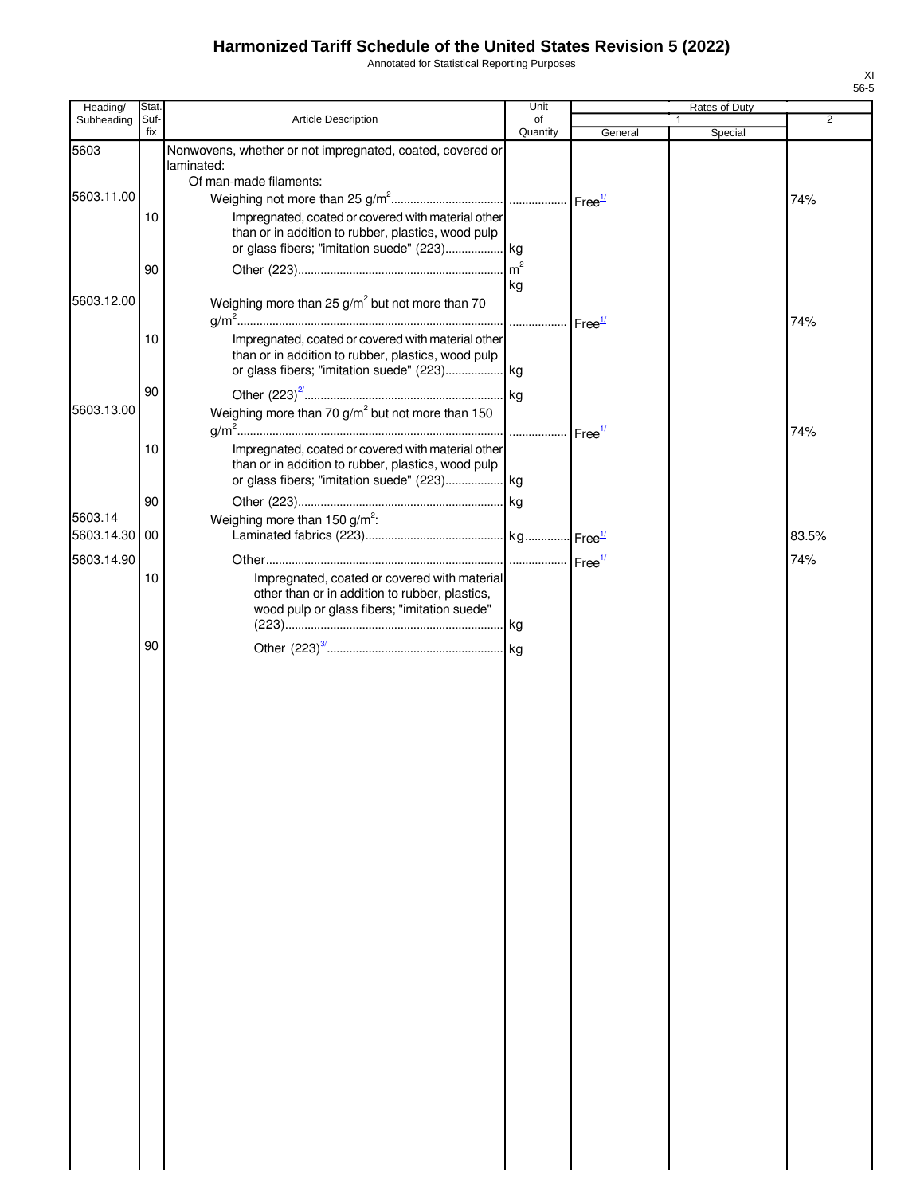Annotated for Statistical Reporting Purposes

| Heading/      | Stat.       |                                                                                                                                                         | Unit           |         | Rates of Duty |                |
|---------------|-------------|---------------------------------------------------------------------------------------------------------------------------------------------------------|----------------|---------|---------------|----------------|
| Subheading    | Suf-<br>fix | Article Description                                                                                                                                     | of<br>Quantity | General | Special       | $\overline{2}$ |
| 5603          |             | Nonwovens, whether or not impregnated, coated, covered or<br>laminated:                                                                                 |                |         |               |                |
| 5603.11.00    |             | Of man-made filaments:                                                                                                                                  |                |         |               | 74%            |
|               | 10          | Impregnated, coated or covered with material other<br>than or in addition to rubber, plastics, wood pulp                                                |                |         |               |                |
|               | 90          |                                                                                                                                                         | kg             |         |               |                |
| 5603.12.00    |             | Weighing more than 25 $g/m^2$ but not more than 70                                                                                                      |                |         |               | 74%            |
|               | 10          | Impregnated, coated or covered with material other<br>than or in addition to rubber, plastics, wood pulp<br>or glass fibers; "imitation suede" (223) kg |                |         |               |                |
| 5603.13.00    | 90          | Weighing more than 70 $g/m^2$ but not more than 150                                                                                                     |                |         |               |                |
|               | 10          | Impregnated, coated or covered with material other                                                                                                      |                |         |               | 74%            |
|               |             | than or in addition to rubber, plastics, wood pulp                                                                                                      |                |         |               |                |
| 5603.14       | 90          | Weighing more than 150 $g/m^2$ :                                                                                                                        |                |         |               |                |
| 5603.14.30 00 |             |                                                                                                                                                         |                |         |               | 83.5%          |
| 5603.14.90    | 10          | Impregnated, coated or covered with material<br>other than or in addition to rubber, plastics,<br>wood pulp or glass fibers; "imitation suede"          |                |         |               | 74%            |
|               | 90          |                                                                                                                                                         |                |         |               |                |
|               |             |                                                                                                                                                         |                |         |               |                |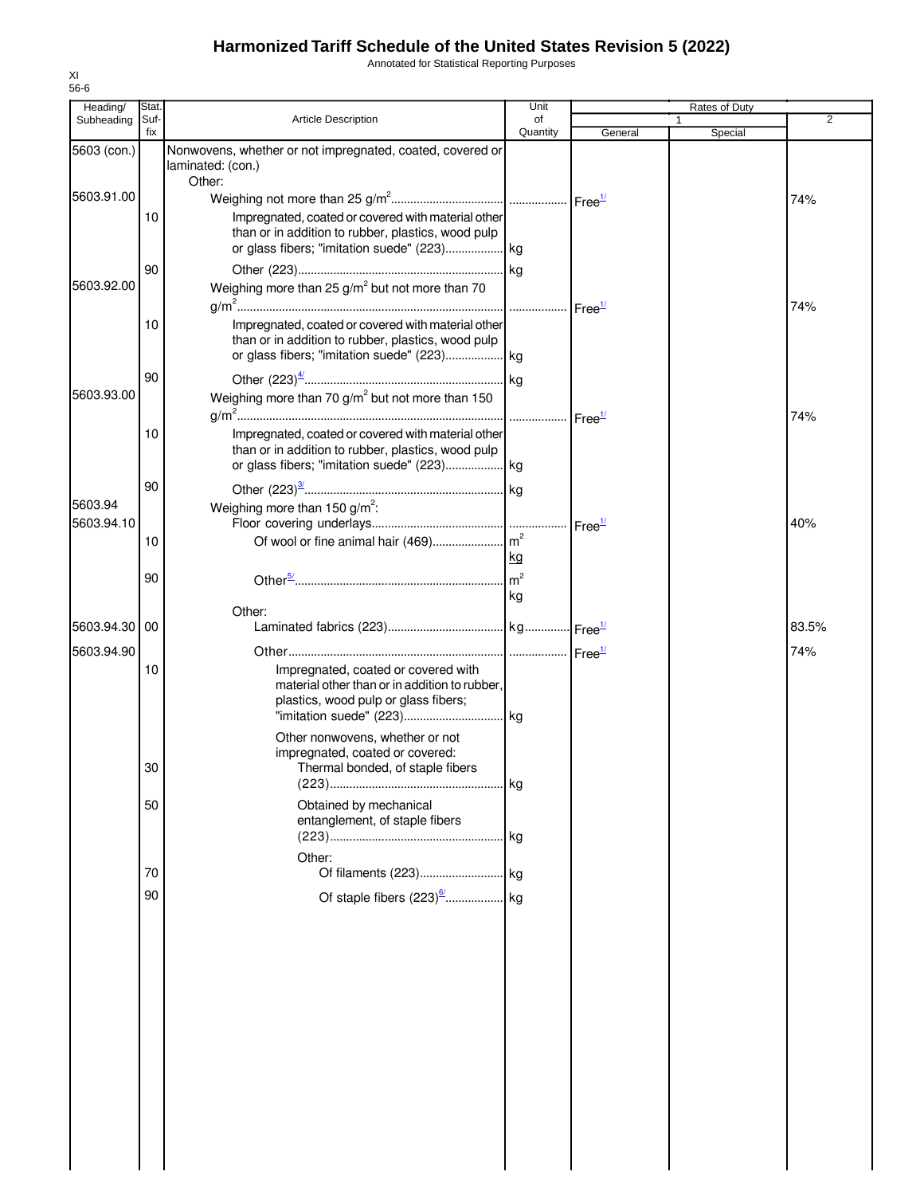Annotated for Statistical Reporting Purposes

| Heading/              | Stat        |                                                                                                                                                                                                    | Unit           |                    | Rates of Duty           |       |
|-----------------------|-------------|----------------------------------------------------------------------------------------------------------------------------------------------------------------------------------------------------|----------------|--------------------|-------------------------|-------|
| Subheading            | Suf-<br>fix | <b>Article Description</b>                                                                                                                                                                         | of<br>Quantity | General            | $\mathbf{1}$<br>Special | 2     |
| 5603 (con.)           |             | Nonwovens, whether or not impregnated, coated, covered or<br>laminated: (con.)                                                                                                                     |                |                    |                         |       |
| 5603.91.00            | 10          | Other:<br>Impregnated, coated or covered with material other<br>than or in addition to rubber, plastics, wood pulp                                                                                 |                |                    |                         | 74%   |
| 5603.92.00            | 90          | or glass fibers; "imitation suede" (223) kg<br>Weighing more than $25 g/m^2$ but not more than 70                                                                                                  |                |                    |                         |       |
|                       | 10          | Impregnated, coated or covered with material other<br>than or in addition to rubber, plastics, wood pulp                                                                                           |                |                    |                         | 74%   |
| 5603.93.00            | 90          | Weighing more than 70 $g/m^2$ but not more than 150                                                                                                                                                |                |                    |                         | 74%   |
|                       | 10          | Impregnated, coated or covered with material other<br>than or in addition to rubber, plastics, wood pulp                                                                                           |                |                    |                         |       |
| 5603.94<br>5603.94.10 | 90          | Weighing more than 150 $g/m^2$ :                                                                                                                                                                   |                | Free $\frac{1}{2}$ |                         | 40%   |
|                       | 10<br>90    |                                                                                                                                                                                                    | <u>kg</u>      |                    |                         |       |
|                       |             | Other:                                                                                                                                                                                             | l kg           |                    |                         |       |
| 5603.94.30            | 00          |                                                                                                                                                                                                    |                |                    |                         | 83.5% |
| 5603.94.90            | 10          | Impregnated, coated or covered with<br>material other than or in addition to rubber,<br>plastics, wood pulp or glass fibers;<br>Other nonwovens, whether or not<br>impregnated, coated or covered: |                |                    |                         | 74%   |
|                       | 30          | Thermal bonded, of staple fibers                                                                                                                                                                   | <b>kg</b>      |                    |                         |       |
|                       | 50          | Obtained by mechanical<br>entanglement, of staple fibers<br>Other:                                                                                                                                 |                |                    |                         |       |
|                       | 70          |                                                                                                                                                                                                    |                |                    |                         |       |
|                       | 90          |                                                                                                                                                                                                    |                |                    |                         |       |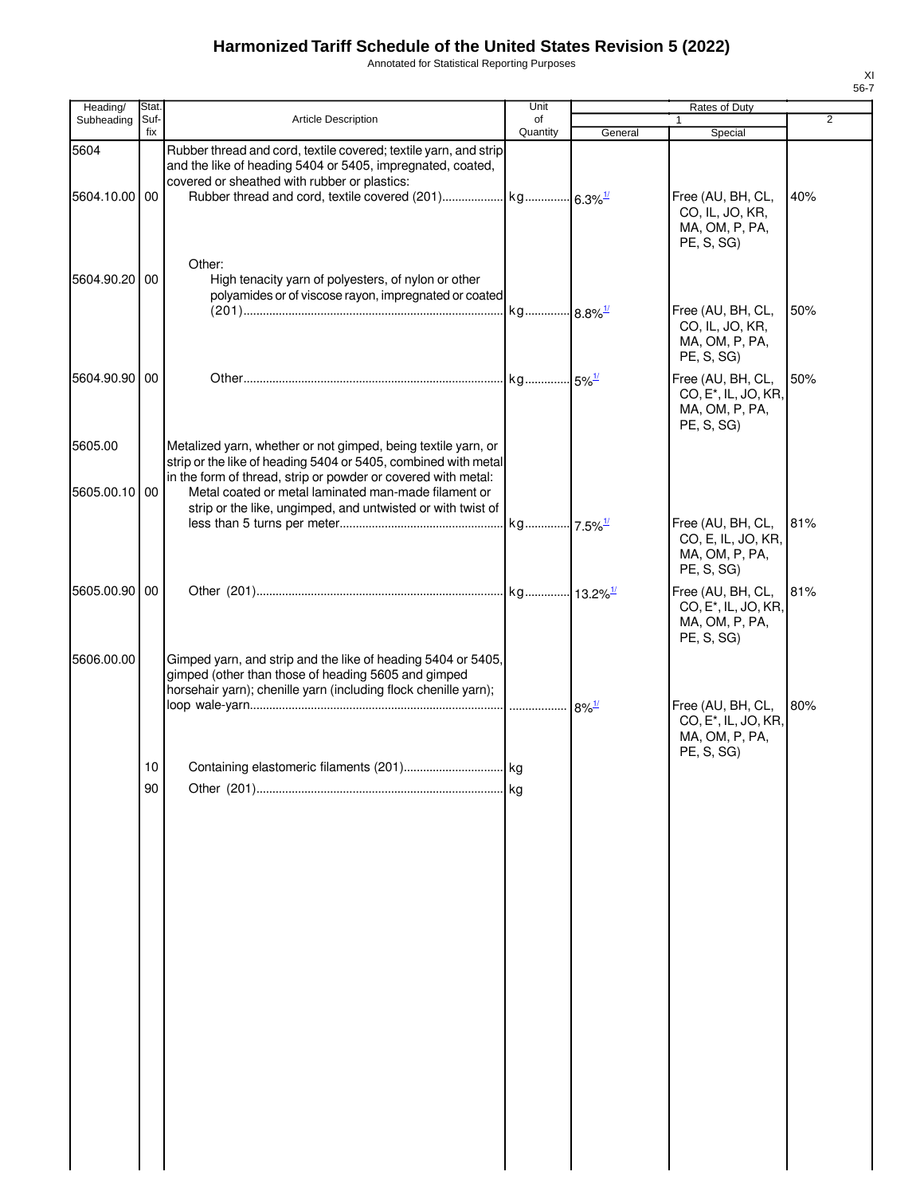Annotated for Statistical Reporting Purposes

| Heading/                 | Stat.                 |                                                                                                                                                                                                                                                                                                                         | Unit           |                                 | Rates of Duty                                                                         |     |
|--------------------------|-----------------------|-------------------------------------------------------------------------------------------------------------------------------------------------------------------------------------------------------------------------------------------------------------------------------------------------------------------------|----------------|---------------------------------|---------------------------------------------------------------------------------------|-----|
| Subheading               | Suf-<br>fix           | <b>Article Description</b>                                                                                                                                                                                                                                                                                              | of<br>Quantity | General                         | $\mathbf{1}$<br>Special                                                               | 2   |
| 5604                     |                       | Rubber thread and cord, textile covered; textile yarn, and strip<br>and the like of heading 5404 or 5405, impregnated, coated,<br>covered or sheathed with rubber or plastics:                                                                                                                                          |                |                                 |                                                                                       |     |
| 5604.10.00 00            |                       |                                                                                                                                                                                                                                                                                                                         |                |                                 | Free (AU, BH, CL,<br>CO, IL, JO, KR,<br>MA, OM, P, PA,<br>PE, S, SG)                  | 40% |
| 5604.90.20 00            |                       | Other:<br>High tenacity yarn of polyesters, of nylon or other<br>polyamides or of viscose rayon, impregnated or coated                                                                                                                                                                                                  |                |                                 | Free (AU, BH, CL,                                                                     | 50% |
|                          |                       |                                                                                                                                                                                                                                                                                                                         |                |                                 | CO, IL, JO, KR,<br>MA, OM, P, PA,<br>PE, S, SG)                                       |     |
| 5604.90.90 00            |                       |                                                                                                                                                                                                                                                                                                                         |                |                                 | Free (AU, BH, CL,<br>CO, E <sup>*</sup> , IL, JO, KR,<br>MA, OM, P, PA,<br>PE, S, SG) | 50% |
| 5605.00<br>5605.00.10 00 |                       | Metalized yarn, whether or not gimped, being textile yarn, or<br>strip or the like of heading 5404 or 5405, combined with metal<br>in the form of thread, strip or powder or covered with metal:<br>Metal coated or metal laminated man-made filament or<br>strip or the like, ungimped, and untwisted or with twist of |                |                                 |                                                                                       |     |
|                          |                       |                                                                                                                                                                                                                                                                                                                         |                |                                 | Free (AU, BH, CL,<br>CO, E, IL, JO, KR,<br>MA, OM, P, PA,<br>PE, S, SG)               | 81% |
| 5605.00.90 00            |                       |                                                                                                                                                                                                                                                                                                                         |                |                                 | Free (AU, BH, CL,<br>CO, E <sup>*</sup> , IL, JO, KR,<br>MA, OM, P, PA,<br>PE, S, SG) | 81% |
| 5606.00.00               |                       | Gimped yarn, and strip and the like of heading 5404 or 5405,<br>gimped (other than those of heading 5605 and gimped<br>horsehair yarn); chenille yarn (including flock chenille yarn);                                                                                                                                  |                | $\cdot \cdot 8\%$ <sup>1/</sup> | Free (AU, BH, CL,                                                                     | 80% |
|                          |                       |                                                                                                                                                                                                                                                                                                                         |                |                                 | CO, E <sup>*</sup> , IL, JO, KR,<br>MA, OM, P, PA,<br>PE, S, SG)                      |     |
|                          | 10 <sup>1</sup><br>90 |                                                                                                                                                                                                                                                                                                                         | kg             |                                 |                                                                                       |     |
|                          |                       |                                                                                                                                                                                                                                                                                                                         |                |                                 |                                                                                       |     |
|                          |                       |                                                                                                                                                                                                                                                                                                                         |                |                                 |                                                                                       |     |
|                          |                       |                                                                                                                                                                                                                                                                                                                         |                |                                 |                                                                                       |     |
|                          |                       |                                                                                                                                                                                                                                                                                                                         |                |                                 |                                                                                       |     |
|                          |                       |                                                                                                                                                                                                                                                                                                                         |                |                                 |                                                                                       |     |
|                          |                       |                                                                                                                                                                                                                                                                                                                         |                |                                 |                                                                                       |     |
|                          |                       |                                                                                                                                                                                                                                                                                                                         |                |                                 |                                                                                       |     |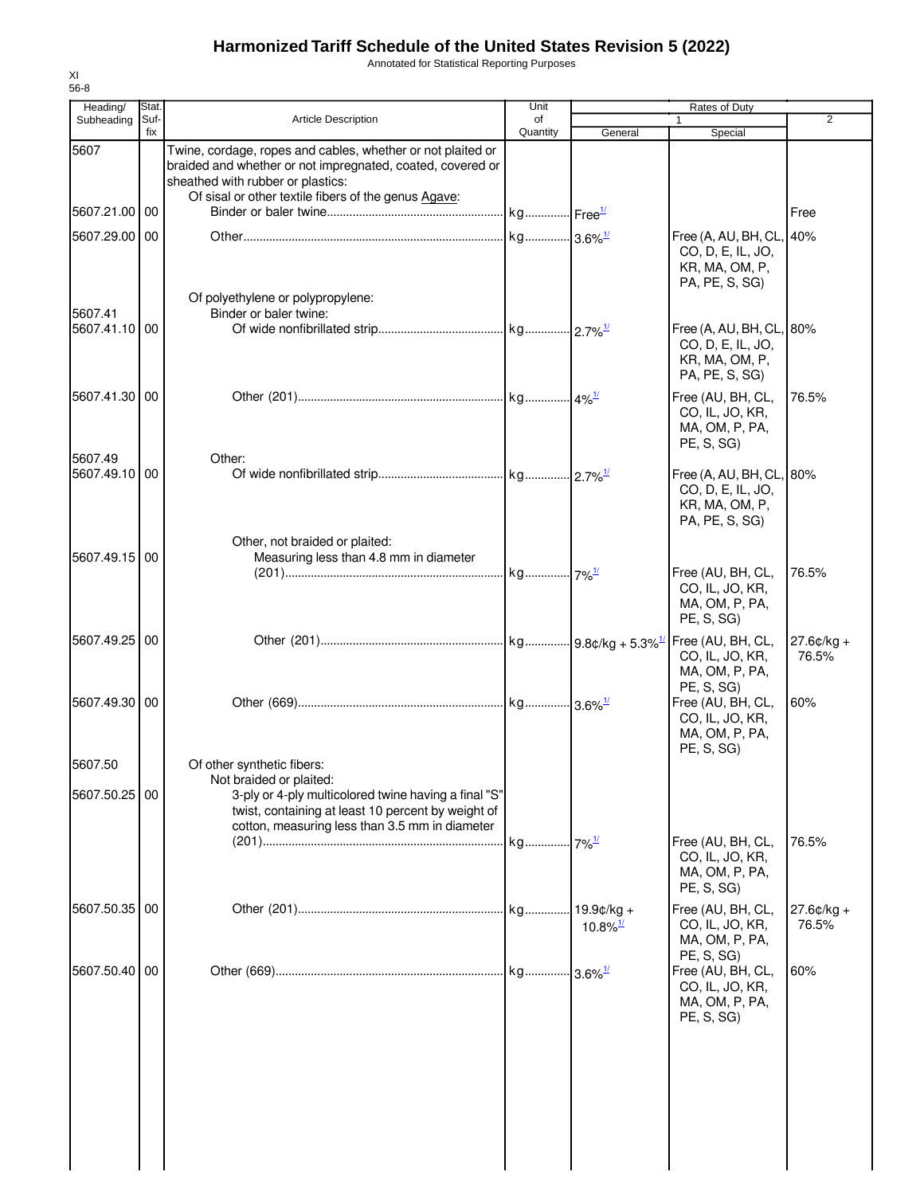Annotated for Statistical Reporting Purposes

| Heading/                 | Stat.       |                                                                                                                                                                                                                        | Unit           |                        | Rates of Duty                                                                      |                       |
|--------------------------|-------------|------------------------------------------------------------------------------------------------------------------------------------------------------------------------------------------------------------------------|----------------|------------------------|------------------------------------------------------------------------------------|-----------------------|
| Subheading               | Suf-<br>fix | <b>Article Description</b>                                                                                                                                                                                             | οf<br>Quantity | General                | 1<br>Special                                                                       | 2                     |
| 5607                     |             | Twine, cordage, ropes and cables, whether or not plaited or<br>braided and whether or not impregnated, coated, covered or<br>sheathed with rubber or plastics:<br>Of sisal or other textile fibers of the genus Agave: |                |                        |                                                                                    |                       |
| 5607.21.00 00            |             |                                                                                                                                                                                                                        |                |                        |                                                                                    | Free                  |
| 5607.29.00 00<br>5607.41 |             | Of polyethylene or polypropylene:<br>Binder or baler twine:                                                                                                                                                            |                |                        | Free (A, AU, BH, CL, 40%<br>CO, D, E, IL, JO,<br>KR, MA, OM, P,<br>PA, PE, S, SG)  |                       |
| 5607.41.10               | 00          |                                                                                                                                                                                                                        |                |                        | Free (A, AU, BH, CL, 80%<br>CO, D, E, IL, JO,<br>KR, MA, OM, P,<br>PA, PE, S, SG)  |                       |
| 5607.41.30 00            |             |                                                                                                                                                                                                                        |                |                        | Free (AU, BH, CL,<br>CO, IL, JO, KR,<br>MA, OM, P, PA,<br>PE, S, SG)               | 76.5%                 |
| 5607.49<br>5607.49.10 00 |             | Other:                                                                                                                                                                                                                 |                |                        | Free (A, AU, BH, CL, 80%<br>CO, D, E, IL, JO,<br>KR, MA, OM, P,<br>PA, PE, S, SG)  |                       |
| 5607.49.15 00            |             | Other, not braided or plaited:<br>Measuring less than 4.8 mm in diameter                                                                                                                                               |                |                        | Free (AU, BH, CL,<br>CO, IL, JO, KR,<br>MA, OM, P, PA,                             | 76.5%                 |
| 5607.49.25 00            |             |                                                                                                                                                                                                                        |                |                        | PE, S, SG)<br>CO, IL, JO, KR,<br>MA, OM, P, PA,                                    | $27.6¢/kg +$<br>76.5% |
| 5607.49.30 00            |             |                                                                                                                                                                                                                        |                |                        | PE, S, SG)<br>Free (AU, BH, CL,<br>CO, IL, JO, KR,<br>MA, OM, P, PA,<br>PE, S, SG) | 60%                   |
| 5607.50<br>5607.50.25 00 |             | Of other synthetic fibers:<br>Not braided or plaited:<br>3-ply or 4-ply multicolored twine having a final "S"<br>twist, containing at least 10 percent by weight of                                                    |                |                        |                                                                                    |                       |
|                          |             | cotton, measuring less than 3.5 mm in diameter                                                                                                                                                                         |                |                        | Free (AU, BH, CL,<br>CO, IL, JO, KR,<br>MA, OM, P, PA,<br>PE, S, SG)               | 76.5%                 |
| 5607.50.35 00            |             |                                                                                                                                                                                                                        |                | $10.8\%$ <sup>1/</sup> | Free (AU, BH, CL,<br>CO, IL, JO, KR,<br>MA, OM, P, PA,                             | $27.6¢/kg +$<br>76.5% |
| 5607.50.40 00            |             |                                                                                                                                                                                                                        |                |                        | PE, S, SG)<br>Free (AU, BH, CL,<br>CO, IL, JO, KR,<br>MA, OM, P, PA,<br>PE, S, SG) | 60%                   |
|                          |             |                                                                                                                                                                                                                        |                |                        |                                                                                    |                       |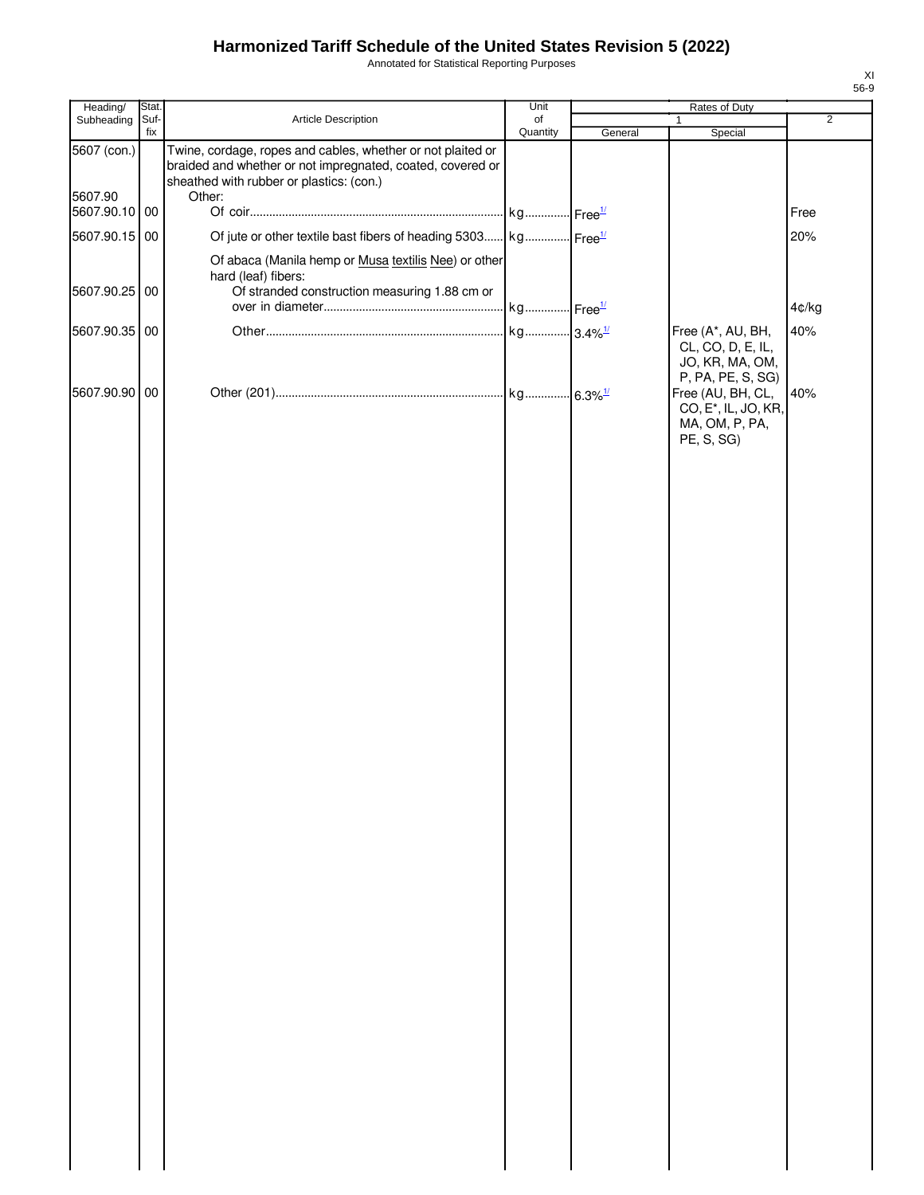Annotated for Statistical Reporting Purposes

| Heading/               | Stat.       |                                                                                                                                                                                 | Unit           |         | Rates of Duty                                                                         |                |
|------------------------|-------------|---------------------------------------------------------------------------------------------------------------------------------------------------------------------------------|----------------|---------|---------------------------------------------------------------------------------------|----------------|
| Subheading             | Suf-<br>fix | Article Description                                                                                                                                                             | of<br>Quantity | General | $\mathbf{1}$<br>Special                                                               | $\overline{2}$ |
| 5607 (con.)<br>5607.90 |             | Twine, cordage, ropes and cables, whether or not plaited or<br>braided and whether or not impregnated, coated, covered or<br>sheathed with rubber or plastics: (con.)<br>Other: |                |         |                                                                                       |                |
| 5607.90.10 00          |             |                                                                                                                                                                                 |                |         |                                                                                       | Free           |
| 5607.90.15 00          |             | Of jute or other textile bast fibers of heading 5303 kg Free <sup>1/</sup>                                                                                                      |                |         |                                                                                       | 20%            |
|                        |             | Of abaca (Manila hemp or Musa textilis Nee) or other                                                                                                                            |                |         |                                                                                       |                |
|                        |             | hard (leaf) fibers:                                                                                                                                                             |                |         |                                                                                       |                |
| 5607.90.25 00          |             | Of stranded construction measuring 1.88 cm or                                                                                                                                   |                |         |                                                                                       | 4¢/kg          |
|                        |             |                                                                                                                                                                                 |                |         |                                                                                       |                |
| 5607.90.35 00          |             |                                                                                                                                                                                 |                |         | Free (A*, AU, BH,<br>CL, CO, D, E, IL,<br>JO, KR, MA, OM,<br>P, PA, PE, S, SG)        | 40%            |
| 5607.90.90 00          |             |                                                                                                                                                                                 |                |         | Free (AU, BH, CL,<br>CO, E <sup>*</sup> , IL, JO, KR,<br>MA, OM, P, PA,<br>PE, S, SG) | 40%            |
|                        |             |                                                                                                                                                                                 |                |         |                                                                                       |                |
|                        |             |                                                                                                                                                                                 |                |         |                                                                                       |                |
|                        |             |                                                                                                                                                                                 |                |         |                                                                                       |                |
|                        |             |                                                                                                                                                                                 |                |         |                                                                                       |                |
|                        |             |                                                                                                                                                                                 |                |         |                                                                                       |                |
|                        |             |                                                                                                                                                                                 |                |         |                                                                                       |                |
|                        |             |                                                                                                                                                                                 |                |         |                                                                                       |                |
|                        |             |                                                                                                                                                                                 |                |         |                                                                                       |                |
|                        |             |                                                                                                                                                                                 |                |         |                                                                                       |                |
|                        |             |                                                                                                                                                                                 |                |         |                                                                                       |                |
|                        |             |                                                                                                                                                                                 |                |         |                                                                                       |                |
|                        |             |                                                                                                                                                                                 |                |         |                                                                                       |                |
|                        |             |                                                                                                                                                                                 |                |         |                                                                                       |                |
|                        |             |                                                                                                                                                                                 |                |         |                                                                                       |                |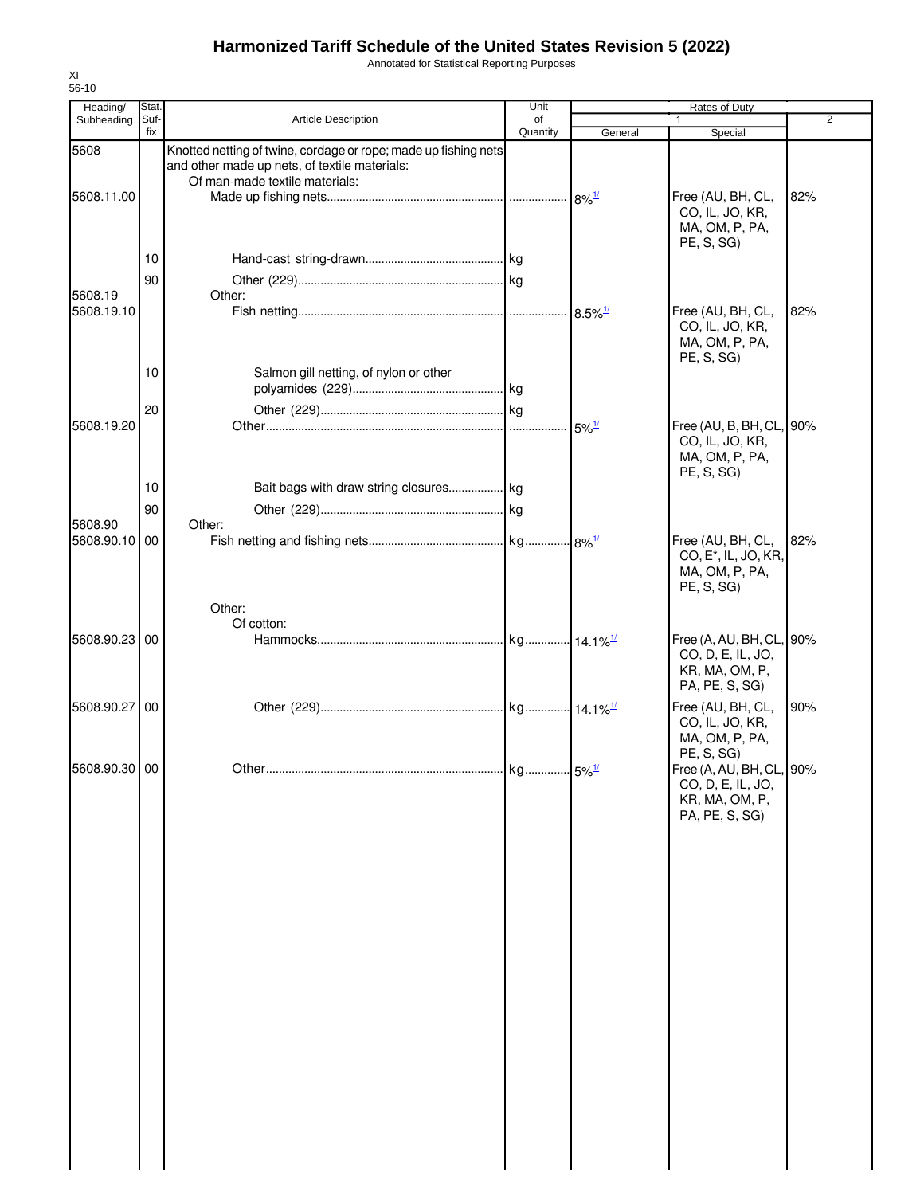Annotated for Statistical Reporting Purposes

| Heading/      | Stat.       |                                                                                                                  | Unit           |         | Rates of Duty                                                                                   |                |
|---------------|-------------|------------------------------------------------------------------------------------------------------------------|----------------|---------|-------------------------------------------------------------------------------------------------|----------------|
| Subheading    | Suf-<br>fix | Article Description                                                                                              | of<br>Quantity | General | 1<br>Special                                                                                    | $\overline{2}$ |
| 5608          |             | Knotted netting of twine, cordage or rope; made up fishing nets<br>and other made up nets, of textile materials: |                |         |                                                                                                 |                |
| 5608.11.00    |             | Of man-made textile materials:                                                                                   |                |         | Free (AU, BH, CL,<br>CO, IL, JO, KR,<br>MA, OM, P, PA,<br>PE, S, SG)                            | 82%            |
|               | 10          |                                                                                                                  |                |         |                                                                                                 |                |
| 5608.19       | 90          | Other:                                                                                                           |                |         |                                                                                                 |                |
| 5608.19.10    |             |                                                                                                                  |                |         | Free (AU, BH, CL,<br>CO, IL, JO, KR,<br>MA, OM, P, PA,<br>PE, S, SG)                            | 82%            |
|               | 10          | Salmon gill netting, of nylon or other                                                                           |                |         |                                                                                                 |                |
|               | 20          |                                                                                                                  |                |         |                                                                                                 |                |
| 5608.19.20    |             |                                                                                                                  |                |         | Free (AU, B, BH, CL, 90%<br>CO, IL, JO, KR,<br>MA, OM, P, PA,<br>PE, S, SG)                     |                |
|               | 10          | Bait bags with draw string closures kg                                                                           |                |         |                                                                                                 |                |
| 5608.90       | 90          | Other:                                                                                                           |                |         |                                                                                                 |                |
| 5608.90.10 00 |             |                                                                                                                  |                |         | Free (AU, BH, CL,<br>CO, E <sup>*</sup> , IL, JO, KR,<br>MA, OM, P, PA,<br>PE, S, SG)           | 82%            |
|               |             | Other:                                                                                                           |                |         |                                                                                                 |                |
| 5608.90.23 00 |             | Of cotton:                                                                                                       |                |         | Free (A, AU, BH, CL, 90%<br>CO, D, E, IL, JO,<br>KR, MA, OM, P,<br>PA, PE, S, SG)               |                |
| 5608.90.27 00 |             |                                                                                                                  |                |         | Free (AU, BH, CL,<br>CO, IL, JO, KR,<br>MA, OM, P, PA,                                          | 90%            |
| 5608.90.30 00 |             |                                                                                                                  |                |         | PE, S, SG)<br>Free (A, AU, BH, CL, 90%<br>CO, D, E, IL, JO,<br>KR, MA, OM, P,<br>PA, PE, S, SG) |                |
|               |             |                                                                                                                  |                |         |                                                                                                 |                |
|               |             |                                                                                                                  |                |         |                                                                                                 |                |
|               |             |                                                                                                                  |                |         |                                                                                                 |                |
|               |             |                                                                                                                  |                |         |                                                                                                 |                |
|               |             |                                                                                                                  |                |         |                                                                                                 |                |
|               |             |                                                                                                                  |                |         |                                                                                                 |                |
|               |             |                                                                                                                  |                |         |                                                                                                 |                |
|               |             |                                                                                                                  |                |         |                                                                                                 |                |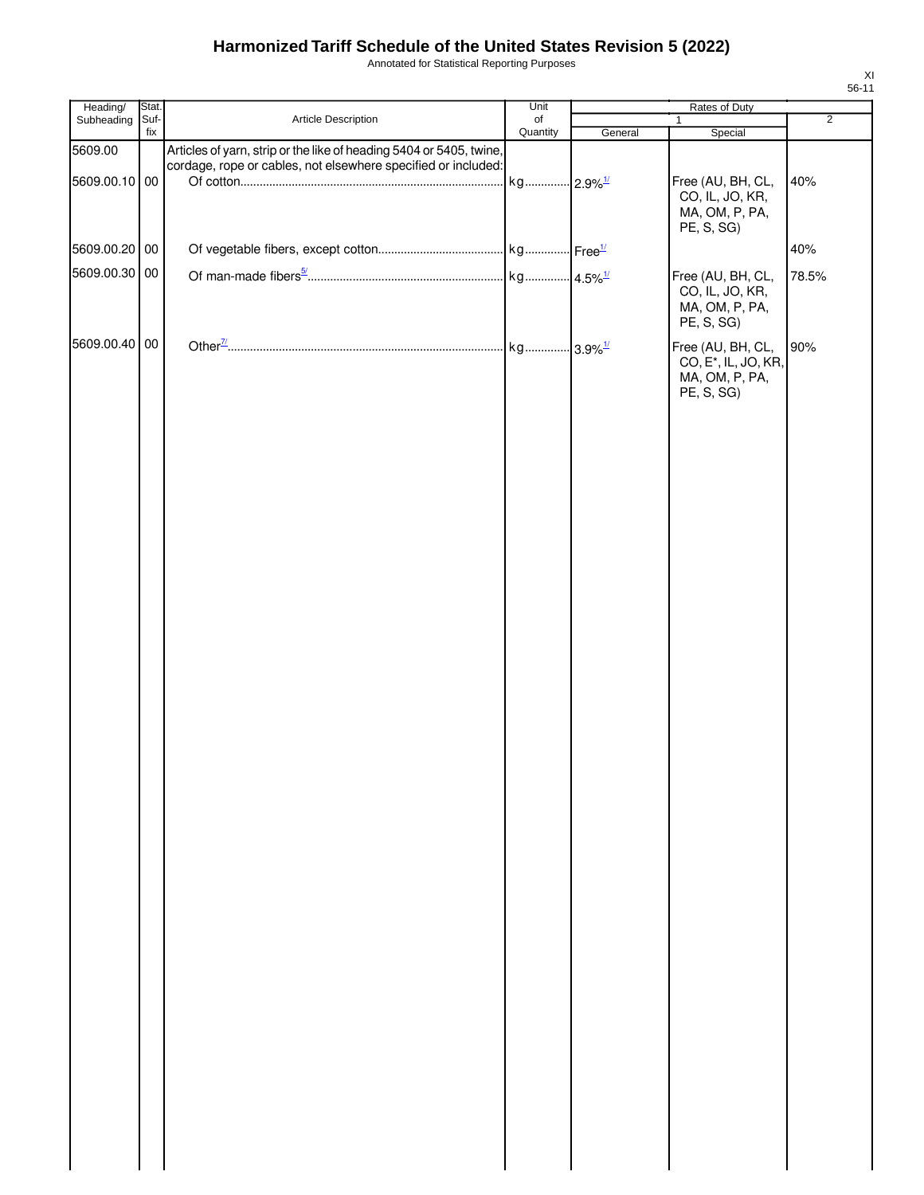Annotated for Statistical Reporting Purposes

| Subheading Suf-<br>Quantity<br>Special<br>fix<br>General<br>5609.00<br>Articles of yarn, strip or the like of heading 5404 or 5405, twine,<br>cordage, rope or cables, not elsewhere specified or included:<br>kg 2.9% <sup>1/</sup><br>5609.00.10 00<br>Free (AU, BH, CL,<br>40%<br>CO, IL, JO, KR,<br>MA, OM, P, PA,<br>PE, S, SG)<br>5609.00.20 00<br>40%<br>5609.00.30 00<br>Free (AU, BH, CL,<br>78.5%<br>CO, IL, JO, KR,<br>MA, OM, P, PA,<br>PE, S, SG)<br>5609.00.40 00<br>90%<br>Free (AU, BH, CL,<br>CO, E <sup>*</sup> , IL, JO, KR,<br>MA, OM, P, PA,<br>PE, S, SG) | Heading/ | Stat.<br>Unit |                     | Rates of Duty |  |              |                |  |
|---------------------------------------------------------------------------------------------------------------------------------------------------------------------------------------------------------------------------------------------------------------------------------------------------------------------------------------------------------------------------------------------------------------------------------------------------------------------------------------------------------------------------------------------------------------------------------|----------|---------------|---------------------|---------------|--|--------------|----------------|--|
|                                                                                                                                                                                                                                                                                                                                                                                                                                                                                                                                                                                 |          |               | Article Description | of            |  | $\mathbf{1}$ | $\overline{2}$ |  |
|                                                                                                                                                                                                                                                                                                                                                                                                                                                                                                                                                                                 |          |               |                     |               |  |              |                |  |
|                                                                                                                                                                                                                                                                                                                                                                                                                                                                                                                                                                                 |          |               |                     |               |  |              |                |  |
|                                                                                                                                                                                                                                                                                                                                                                                                                                                                                                                                                                                 |          |               |                     |               |  |              |                |  |
|                                                                                                                                                                                                                                                                                                                                                                                                                                                                                                                                                                                 |          |               |                     |               |  |              |                |  |
|                                                                                                                                                                                                                                                                                                                                                                                                                                                                                                                                                                                 |          |               |                     |               |  |              |                |  |
|                                                                                                                                                                                                                                                                                                                                                                                                                                                                                                                                                                                 |          |               |                     |               |  |              |                |  |
|                                                                                                                                                                                                                                                                                                                                                                                                                                                                                                                                                                                 |          |               |                     |               |  |              |                |  |